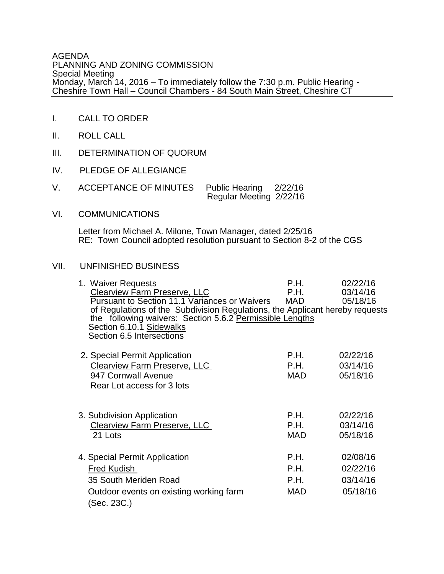## AGENDA PLANNING AND ZONING COMMISSION Special Meeting Monday, March 14, 2016 – To immediately follow the 7:30 p.m. Public Hearing - Cheshire Town Hall – Council Chambers - 84 South Main Street, Cheshire CT

- I. CALL TO ORDER
- II. ROLL CALL
- III. DETERMINATION OF QUORUM
- IV. PLEDGE OF ALLEGIANCE
- V. ACCEPTANCE OF MINUTES Public Hearing 2/22/16 Regular Meeting 2/22/16
- VI. COMMUNICATIONS

Letter from Michael A. Milone, Town Manager, dated 2/25/16 RE: Town Council adopted resolution pursuant to Section 8-2 of the CGS

## VII. UNFINISHED BUSINESS

| 1. Waiver Requests<br>Clearview Farm Preserve, LLC<br><b>Pursuant to Section 11.1 Variances or Waivers</b><br>of Regulations of the Subdivision Regulations, the Applicant hereby requests<br>the following waivers: Section 5.6.2 Permissible Lengths<br>Section 6.10.1 Sidewalks<br>Section 6.5 Intersections | P.H.<br>P.H.<br><b>MAD</b>                | 02/22/16<br>03/14/16<br>05/18/16             |
|-----------------------------------------------------------------------------------------------------------------------------------------------------------------------------------------------------------------------------------------------------------------------------------------------------------------|-------------------------------------------|----------------------------------------------|
| 2. Special Permit Application<br><b>Clearview Farm Preserve, LLC</b><br>947 Cornwall Avenue<br>Rear Lot access for 3 lots                                                                                                                                                                                       | P.H.<br>P.H.<br>MAD.                      | 02/22/16<br>03/14/16<br>05/18/16             |
| 3. Subdivision Application<br><b>Clearview Farm Preserve, LLC</b><br>21 Lots                                                                                                                                                                                                                                    | P.H.<br>P.H.<br><b>MAD</b>                | 02/22/16<br>03/14/16<br>05/18/16             |
| 4. Special Permit Application<br><b>Fred Kudish</b><br>35 South Meriden Road<br>Outdoor events on existing working farm<br>(Sec. 23C.)                                                                                                                                                                          | P.H.<br>P.H.<br><b>P.H.</b><br><b>MAD</b> | 02/08/16<br>02/22/16<br>03/14/16<br>05/18/16 |